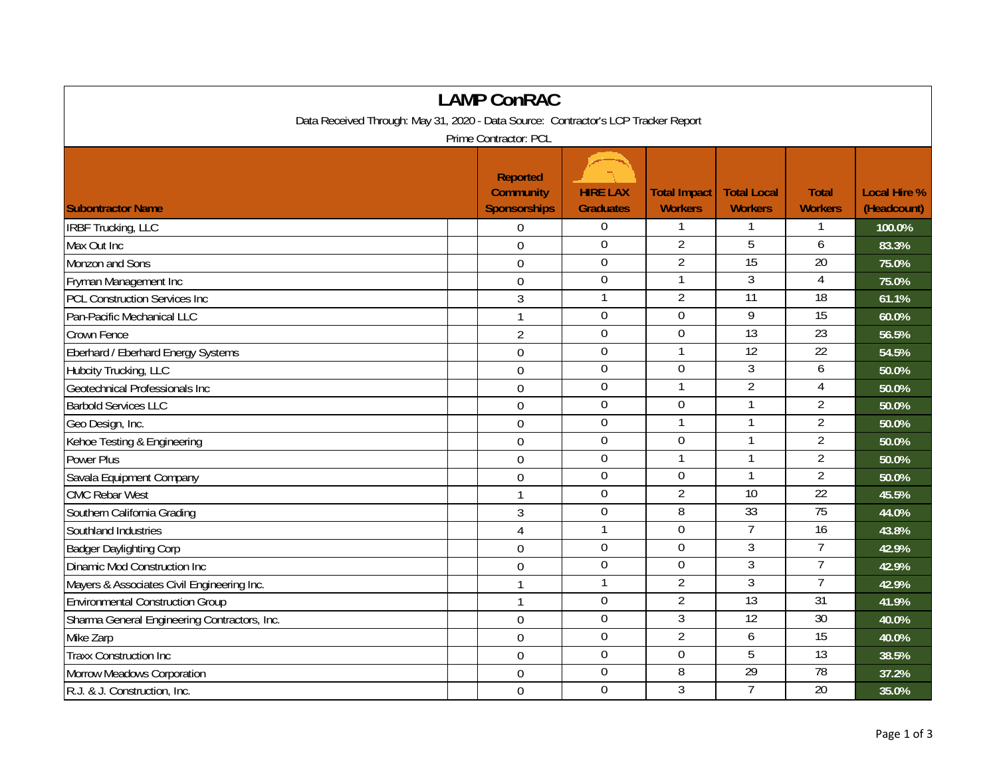| <b>LAMP ConRAC</b>                                                                 |  |                                                            |                                     |                                       |                                      |                                |                                    |  |  |
|------------------------------------------------------------------------------------|--|------------------------------------------------------------|-------------------------------------|---------------------------------------|--------------------------------------|--------------------------------|------------------------------------|--|--|
| Data Received Through: May 31, 2020 - Data Source: Contractor's LCP Tracker Report |  |                                                            |                                     |                                       |                                      |                                |                                    |  |  |
| Prime Contractor: PCL                                                              |  |                                                            |                                     |                                       |                                      |                                |                                    |  |  |
| <b>Subontractor Name</b>                                                           |  | <b>Reported</b><br><b>Community</b><br><b>Sponsorships</b> | <b>HIRE LAX</b><br><b>Graduates</b> | <b>Total Impact</b><br><b>Workers</b> | <b>Total Local</b><br><b>Workers</b> | <b>Total</b><br><b>Workers</b> | <b>Local Hire %</b><br>(Headcount) |  |  |
| <b>IRBF Trucking, LLC</b>                                                          |  | 0                                                          | $\boldsymbol{0}$                    | 1                                     |                                      |                                | 100.0%                             |  |  |
| Max Out Inc                                                                        |  | $\mathbf 0$                                                | $\boldsymbol{0}$                    | $\overline{2}$                        | 5                                    | 6                              | 83.3%                              |  |  |
| Monzon and Sons                                                                    |  | $\overline{0}$                                             | $\mathbf 0$                         | $\overline{2}$                        | 15                                   | 20                             | 75.0%                              |  |  |
| Fryman Management Inc                                                              |  | $\overline{0}$                                             | $\mathbf 0$                         | 1                                     | $\mathfrak{Z}$                       | $\overline{4}$                 | 75.0%                              |  |  |
| <b>PCL Construction Services Inc</b>                                               |  | 3                                                          | $\mathbf{1}$                        | $\overline{2}$                        | $\overline{11}$                      | $\overline{18}$                | 61.1%                              |  |  |
| Pan-Pacific Mechanical LLC                                                         |  | $\mathbf{1}$                                               | $\boldsymbol{0}$                    | 0                                     | 9                                    | 15                             | 60.0%                              |  |  |
| Crown Fence                                                                        |  | $\overline{2}$                                             | $\boldsymbol{0}$                    | $\mathbf 0$                           | 13                                   | 23                             | 56.5%                              |  |  |
| Eberhard / Eberhard Energy Systems                                                 |  | $\mathbf 0$                                                | $\boldsymbol{0}$                    | 1                                     | $\overline{12}$                      | $\overline{22}$                | 54.5%                              |  |  |
| Hubcity Trucking, LLC                                                              |  | $\overline{0}$                                             | $\boldsymbol{0}$                    | $\mathbf 0$                           | 3                                    | 6                              | 50.0%                              |  |  |
| Geotechnical Professionals Inc                                                     |  | $\overline{0}$                                             | $\mathbf 0$                         | $\mathbf{1}$                          | $\overline{2}$                       | $\overline{4}$                 | 50.0%                              |  |  |
| <b>Barbold Services LLC</b>                                                        |  | $\mathbf 0$                                                | $\mathbf 0$                         | $\mathbf 0$                           |                                      | $\overline{2}$                 | 50.0%                              |  |  |
| Geo Design, Inc.                                                                   |  | $\overline{0}$                                             | $\mathbf 0$                         | $\mathbf{1}$                          |                                      | $\overline{2}$                 | 50.0%                              |  |  |
| Kehoe Testing & Engineering                                                        |  | $\mathbf 0$                                                | $\mathbf 0$                         | 0                                     |                                      | $\overline{2}$                 | 50.0%                              |  |  |
| <b>Power Plus</b>                                                                  |  | $\mathbf 0$                                                | $\boldsymbol{0}$                    | $\mathbf{1}$                          | $\mathbf{1}$                         | $\overline{2}$                 | 50.0%                              |  |  |
| Savala Equipment Company                                                           |  | $\mathbf 0$                                                | $\mathbf 0$                         | $\mathbf 0$                           |                                      | $\overline{2}$                 | 50.0%                              |  |  |
| <b>CMC Rebar West</b>                                                              |  | $\mathbf{1}$                                               | $\mathbf 0$                         | $\overline{2}$                        | $\overline{10}$                      | 22                             | 45.5%                              |  |  |
| Southern California Grading                                                        |  | $\overline{3}$                                             | $\overline{0}$                      | 8                                     | 33                                   | 75                             | 44.0%                              |  |  |
| Southland Industries                                                               |  | $\overline{4}$                                             | $\mathbf{1}$                        | $\mathbf 0$                           | $\overline{7}$                       | $\overline{16}$                | 43.8%                              |  |  |
| <b>Badger Daylighting Corp</b>                                                     |  | $\mathbf 0$                                                | $\boldsymbol{0}$                    | $\overline{0}$                        | $\overline{3}$                       | 7                              | 42.9%                              |  |  |
| Dinamic Mod Construction Inc                                                       |  | $\mathbf 0$                                                | $\boldsymbol{0}$                    | $\mathbf 0$                           | $\mathfrak{Z}$                       | $\overline{7}$                 | 42.9%                              |  |  |
| Mayers & Associates Civil Engineering Inc.                                         |  | 1                                                          | $\mathbf{1}$                        | $\overline{2}$                        | 3                                    | $\overline{7}$                 | 42.9%                              |  |  |
| <b>Environmental Construction Group</b>                                            |  | $\mathbf{1}$                                               | $\boldsymbol{0}$                    | $\overline{2}$                        | $\overline{13}$                      | $\overline{31}$                | 41.9%                              |  |  |
| Sharma General Engineering Contractors, Inc.                                       |  | $\overline{0}$                                             | $\mathbf 0$                         | $\overline{3}$                        | 12                                   | 30                             | 40.0%                              |  |  |
| Mike Zarp                                                                          |  | $\theta$                                                   | $\mathbf 0$                         | $\overline{2}$                        | 6                                    | 15                             | 40.0%                              |  |  |
| <b>Traxx Construction Inc</b>                                                      |  | $\mathbf 0$                                                | $\mathbf 0$                         | 0                                     | 5                                    | $\overline{13}$                | 38.5%                              |  |  |
| Morrow Meadows Corporation                                                         |  | $\mathbf 0$                                                | $\mathbf 0$                         | 8                                     | $\overline{29}$                      | 78                             | 37.2%                              |  |  |
| R.J. & J. Construction, Inc.                                                       |  | $\mathbf 0$                                                | $\mathbf 0$                         | 3                                     | 7                                    | $\overline{20}$                | 35.0%                              |  |  |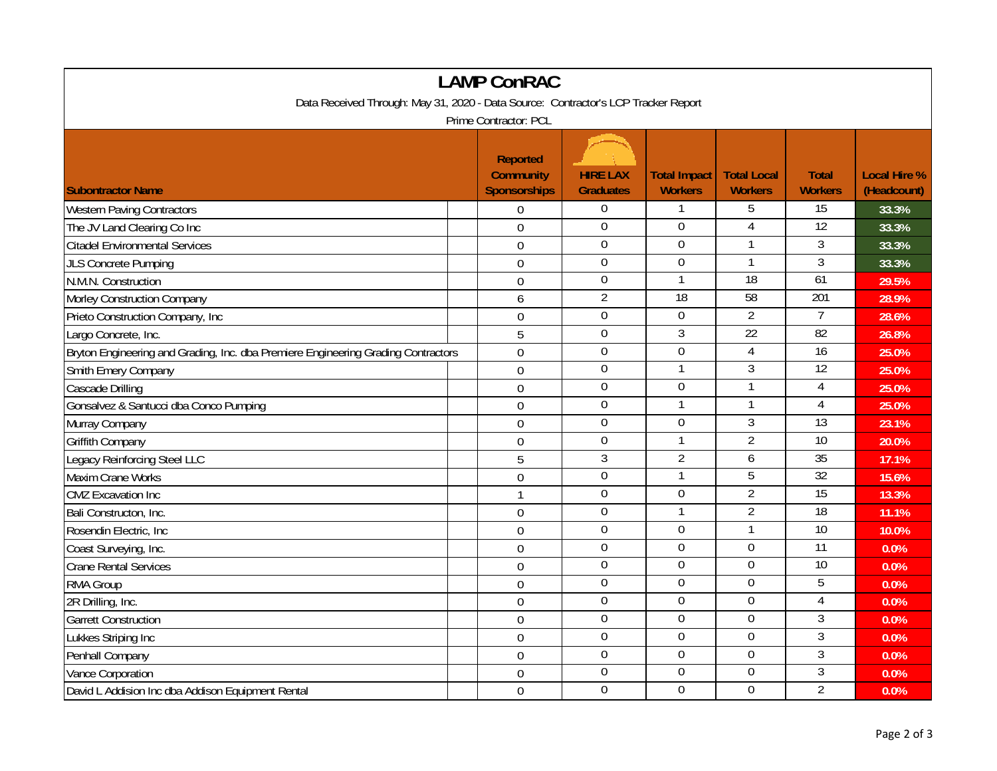| <b>LAMP ConRAC</b>                                                                 |                                                     |                                     |                                       |                                      |                                |                                    |  |  |
|------------------------------------------------------------------------------------|-----------------------------------------------------|-------------------------------------|---------------------------------------|--------------------------------------|--------------------------------|------------------------------------|--|--|
| Data Received Through: May 31, 2020 - Data Source: Contractor's LCP Tracker Report |                                                     |                                     |                                       |                                      |                                |                                    |  |  |
| Prime Contractor: PCL                                                              |                                                     |                                     |                                       |                                      |                                |                                    |  |  |
| <b>Subontractor Name</b>                                                           | Reported<br><b>Community</b><br><b>Sponsorships</b> | <b>HIRE LAX</b><br><b>Graduates</b> | <b>Total Impact</b><br><b>Workers</b> | <b>Total Local</b><br><b>Workers</b> | <b>Total</b><br><b>Workers</b> | <b>Local Hire %</b><br>(Headcount) |  |  |
| <b>Western Paving Contractors</b>                                                  | $\boldsymbol{0}$                                    | $\overline{0}$                      | 1                                     | 5                                    | 15                             | 33.3%                              |  |  |
| The JV Land Clearing Co Inc                                                        | $\overline{0}$                                      | $\mathbf{0}$                        | $\mathbf 0$                           | $\overline{4}$                       | 12                             | 33.3%                              |  |  |
| <b>Citadel Environmental Services</b>                                              | $\mathbf 0$                                         | $\overline{0}$                      | $\overline{0}$                        | $\mathbf{1}$                         | $\overline{3}$                 | 33.3%                              |  |  |
| <b>JLS Concrete Pumping</b>                                                        | $\mathbf 0$                                         | $\mathbf 0$                         | $\mathbf 0$                           | 1                                    | $\overline{3}$                 | 33.3%                              |  |  |
| N.M.N. Construction                                                                | $\mathbf 0$                                         | $\boldsymbol{0}$                    | $\mathbf{1}$                          | $\overline{18}$                      | 61                             | 29.5%                              |  |  |
| Morley Construction Company                                                        | 6                                                   | $\overline{2}$                      | $\overline{18}$                       | 58                                   | 201                            | 28.9%                              |  |  |
| Prieto Construction Company, Inc                                                   | $\overline{0}$                                      | $\mathbf 0$                         | $\overline{0}$                        | $\overline{2}$                       | $\overline{7}$                 | 28.6%                              |  |  |
| Largo Concrete, Inc.                                                               | 5                                                   | $\overline{0}$                      | 3                                     | $\overline{22}$                      | $\overline{82}$                | 26.8%                              |  |  |
| Bryton Engineering and Grading, Inc. dba Premiere Engineering Grading Contractors  | 0                                                   | $\mathbf 0$                         | $\mathbf 0$                           | $\overline{4}$                       | $\overline{16}$                | 25.0%                              |  |  |
| Smith Emery Company                                                                | $\overline{0}$                                      | $\overline{0}$                      | $\mathbf{1}$                          | $\overline{3}$                       | 12                             | 25.0%                              |  |  |
| Cascade Drilling                                                                   | $\mathbf 0$                                         | $\mathbf 0$                         | $\overline{0}$                        | $\mathbf{1}$                         | $\overline{4}$                 | 25.0%                              |  |  |
| Gonsalvez & Santucci dba Conco Pumping                                             | $\mathbf 0$                                         | $\overline{0}$                      | $\mathbf{1}$                          | $\mathbf{1}$                         | $\overline{4}$                 | 25.0%                              |  |  |
| Murray Company                                                                     | $\overline{0}$                                      | $\mathbf 0$                         | $\mathbf 0$                           | $\mathfrak{Z}$                       | $\overline{13}$                | 23.1%                              |  |  |
| Griffith Company                                                                   | $\boldsymbol{0}$                                    | $\mathbf 0$                         | 1                                     | $\overline{2}$                       | 10                             | 20.0%                              |  |  |
| Legacy Reinforcing Steel LLC                                                       | 5                                                   | 3                                   | $\overline{2}$                        | 6                                    | 35                             | 17.1%                              |  |  |
| Maxim Crane Works                                                                  | $\mathbf 0$                                         | $\boldsymbol{0}$                    | $\mathbf{1}$                          | 5                                    | 32                             | 15.6%                              |  |  |
| <b>CMZ</b> Excavation Inc                                                          | 1                                                   | $\mathbf 0$                         | $\mathbf 0$                           | $\overline{2}$                       | 15                             | 13.3%                              |  |  |
| Bali Constructon, Inc.                                                             | $\mathbf 0$                                         | $\mathbf 0$                         | $\mathbf{1}$                          | $\overline{2}$                       | $\overline{18}$                | 11.1%                              |  |  |
| Rosendin Electric, Inc.                                                            | $\overline{0}$                                      | $\boldsymbol{0}$                    | $\boldsymbol{0}$                      | $\mathbf{1}$                         | $\overline{10}$                | 10.0%                              |  |  |
| Coast Surveying, Inc.                                                              | $\overline{0}$                                      | $\overline{0}$                      | $\overline{0}$                        | $\overline{0}$                       | 11                             | 0.0%                               |  |  |
| <b>Crane Rental Services</b>                                                       | $\overline{0}$                                      | $\mathbf 0$                         | $\mathbf 0$                           | $\mathbf 0$                          | 10                             | 0.0%                               |  |  |
| RMA Group                                                                          | $\mathbf{0}$                                        | $\overline{0}$                      | $\overline{0}$                        | $\overline{0}$                       | 5                              | 0.0%                               |  |  |
| 2R Drilling, Inc.                                                                  | $\mathbf 0$                                         | $\boldsymbol{0}$                    | $\mathbf 0$                           | $\mathbf 0$                          | 4                              | 0.0%                               |  |  |
| <b>Garrett Construction</b>                                                        | $\overline{0}$                                      | $\mathbf 0$                         | $\mathbf 0$                           | $\mathbf 0$                          | $\overline{3}$                 | 0.0%                               |  |  |
| Lukkes Striping Inc                                                                | $\mathbf 0$                                         | $\mathbf 0$                         | $\mathbf 0$                           | $\mathbf 0$                          | $\overline{3}$                 | 0.0%                               |  |  |
| Penhall Company                                                                    | $\mathbf 0$                                         | $\boldsymbol{0}$                    | $\boldsymbol{0}$                      | $\boldsymbol{0}$                     | $\overline{3}$                 | 0.0%                               |  |  |
| Vance Corporation                                                                  | $\overline{0}$                                      | $\boldsymbol{0}$                    | 0                                     | $\boldsymbol{0}$                     | 3                              | 0.0%                               |  |  |
| David L Addision Inc dba Addison Equipment Rental                                  | $\boldsymbol{0}$                                    | 0                                   | $\Omega$                              | $\Omega$                             | $\overline{2}$                 | 0.0%                               |  |  |